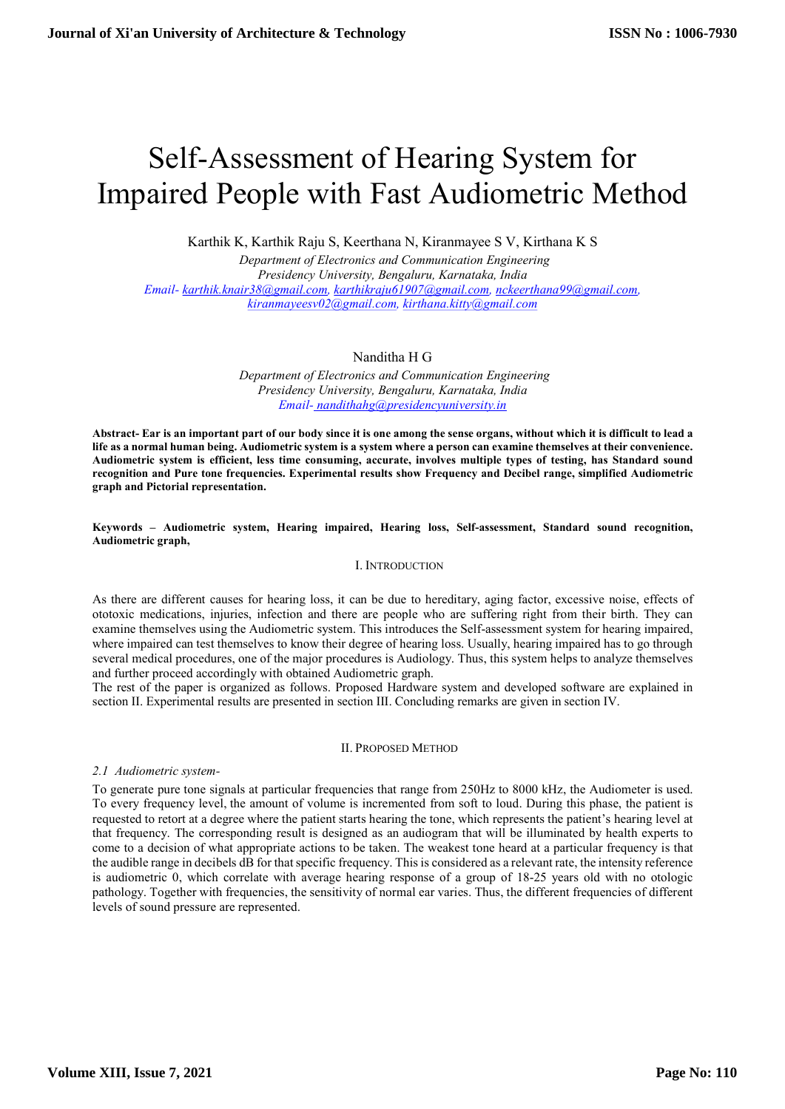# Self-Assessment of Hearing System for Impaired People with Fast Audiometric Method

Karthik K, Karthik Raju S, Keerthana N, Kiranmayee S V, Kirthana K S

 Department of Electronics and Communication Engineering Presidency University, Bengaluru, Karnataka, India Email- karthik.knair38@gmail.com, karthikraju61907@gmail.com, nckeerthana99@gmail.com, kiranmayeesv02@gmail.com, kirthana.kitty@gmail.com

# Nanditha H G

 Department of Electronics and Communication Engineering Presidency University, Bengaluru, Karnataka, India Email- nandithahg@presidencyuniversity.in

Abstract- Ear is an important part of our body since it is one among the sense organs, without which it is difficult to lead a life as a normal human being. Audiometric system is a system where a person can examine themselves at their convenience. Audiometric system is efficient, less time consuming, accurate, involves multiple types of testing, has Standard sound recognition and Pure tone frequencies. Experimental results show Frequency and Decibel range, simplified Audiometric graph and Pictorial representation.

Keywords – Audiometric system, Hearing impaired, Hearing loss, Self-assessment, Standard sound recognition, Audiometric graph,

## I. INTRODUCTION

As there are different causes for hearing loss, it can be due to hereditary, aging factor, excessive noise, effects of ototoxic medications, injuries, infection and there are people who are suffering right from their birth. They can examine themselves using the Audiometric system. This introduces the Self-assessment system for hearing impaired, where impaired can test themselves to know their degree of hearing loss. Usually, hearing impaired has to go through several medical procedures, one of the major procedures is Audiology. Thus, this system helps to analyze themselves and further proceed accordingly with obtained Audiometric graph.

The rest of the paper is organized as follows. Proposed Hardware system and developed software are explained in section II. Experimental results are presented in section III. Concluding remarks are given in section IV.

## II. PROPOSED METHOD

2.1 Audiometric system-

To generate pure tone signals at particular frequencies that range from 250Hz to 8000 kHz, the Audiometer is used. To every frequency level, the amount of volume is incremented from soft to loud. During this phase, the patient is requested to retort at a degree where the patient starts hearing the tone, which represents the patient's hearing level at that frequency. The corresponding result is designed as an audiogram that will be illuminated by health experts to come to a decision of what appropriate actions to be taken. The weakest tone heard at a particular frequency is that the audible range in decibels dB for that specific frequency. This is considered as a relevant rate, the intensity reference is audiometric 0, which correlate with average hearing response of a group of 18-25 years old with no otologic pathology. Together with frequencies, the sensitivity of normal ear varies. Thus, the different frequencies of different levels of sound pressure are represented.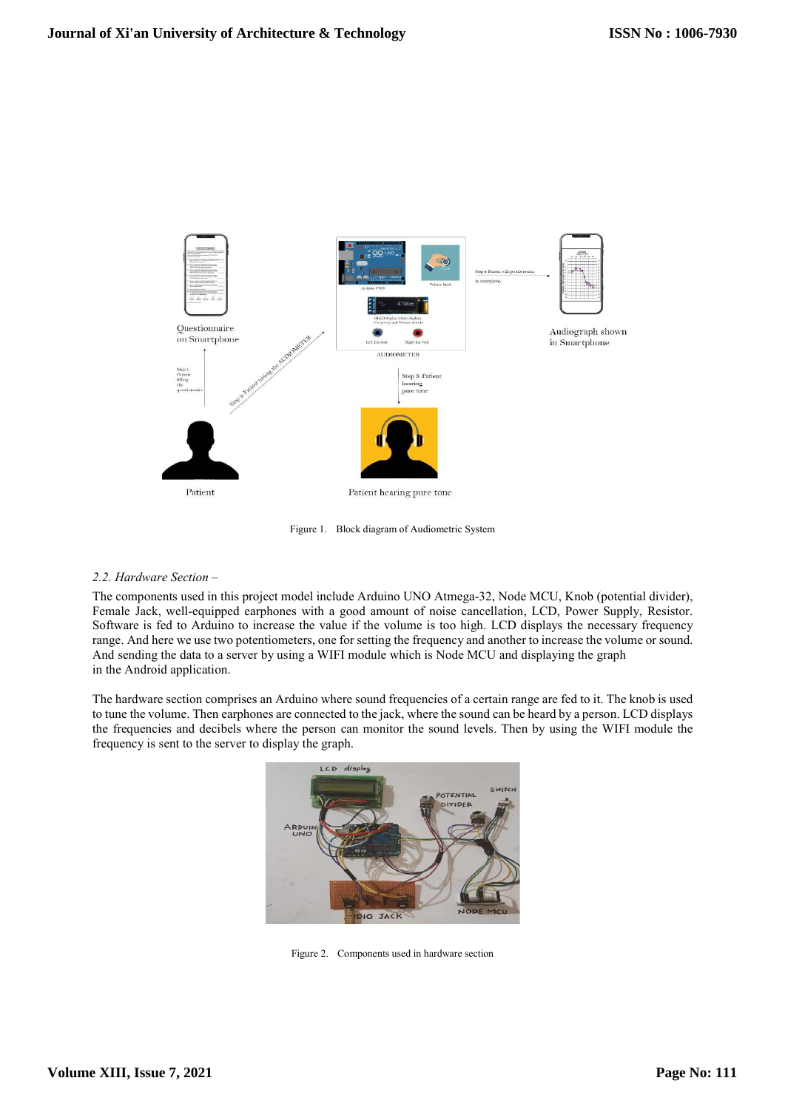

Figure 1. Block diagram of Audiometric System

# 2.2. Hardware Section –

The components used in this project model include Arduino UNO Atmega-32, Node MCU, Knob (potential divider), Female Jack, well-equipped earphones with a good amount of noise cancellation, LCD, Power Supply, Resistor. Software is fed to Arduino to increase the value if the volume is too high. LCD displays the necessary frequency range. And here we use two potentiometers, one for setting the frequency and another to increase the volume or sound. And sending the data to a server by using a WIFI module which is Node MCU and displaying the graph in the Android application.

The hardware section comprises an Arduino where sound frequencies of a certain range are fed to it. The knob is used to tune the volume. Then earphones are connected to the jack, where the sound can be heard by a person. LCD displays the frequencies and decibels where the person can monitor the sound levels. Then by using the WIFI module the frequency is sent to the server to display the graph.



Figure 2. Components used in hardware section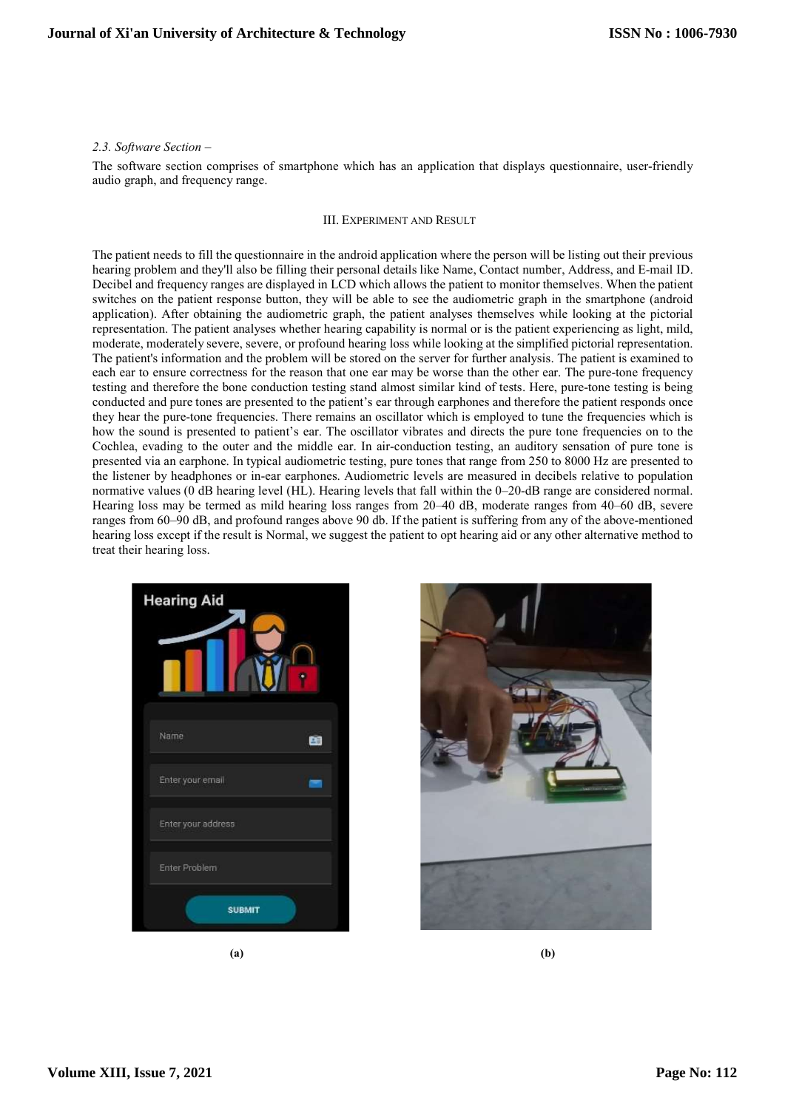### 2.3. Software Section –

The software section comprises of smartphone which has an application that displays questionnaire, user-friendly audio graph, and frequency range.

#### III. EXPERIMENT AND RESULT

The patient needs to fill the questionnaire in the android application where the person will be listing out their previous hearing problem and they'll also be filling their personal details like Name, Contact number, Address, and E-mail ID. Decibel and frequency ranges are displayed in LCD which allows the patient to monitor themselves. When the patient switches on the patient response button, they will be able to see the audiometric graph in the smartphone (android application). After obtaining the audiometric graph, the patient analyses themselves while looking at the pictorial representation. The patient analyses whether hearing capability is normal or is the patient experiencing as light, mild, moderate, moderately severe, severe, or profound hearing loss while looking at the simplified pictorial representation. The patient's information and the problem will be stored on the server for further analysis. The patient is examined to each ear to ensure correctness for the reason that one ear may be worse than the other ear. The pure-tone frequency testing and therefore the bone conduction testing stand almost similar kind of tests. Here, pure-tone testing is being conducted and pure tones are presented to the patient's ear through earphones and therefore the patient responds once they hear the pure-tone frequencies. There remains an oscillator which is employed to tune the frequencies which is how the sound is presented to patient's ear. The oscillator vibrates and directs the pure tone frequencies on to the Cochlea, evading to the outer and the middle ear. In air-conduction testing, an auditory sensation of pure tone is presented via an earphone. In typical audiometric testing, pure tones that range from 250 to 8000 Hz are presented to the listener by headphones or in-ear earphones. Audiometric levels are measured in decibels relative to population normative values (0 dB hearing level (HL). Hearing levels that fall within the 0–20-dB range are considered normal. Hearing loss may be termed as mild hearing loss ranges from 20–40 dB, moderate ranges from 40–60 dB, severe ranges from 60–90 dB, and profound ranges above 90 db. If the patient is suffering from any of the above-mentioned hearing loss except if the result is Normal, we suggest the patient to opt hearing aid or any other alternative method to treat their hearing loss.





 $(a)$  (b)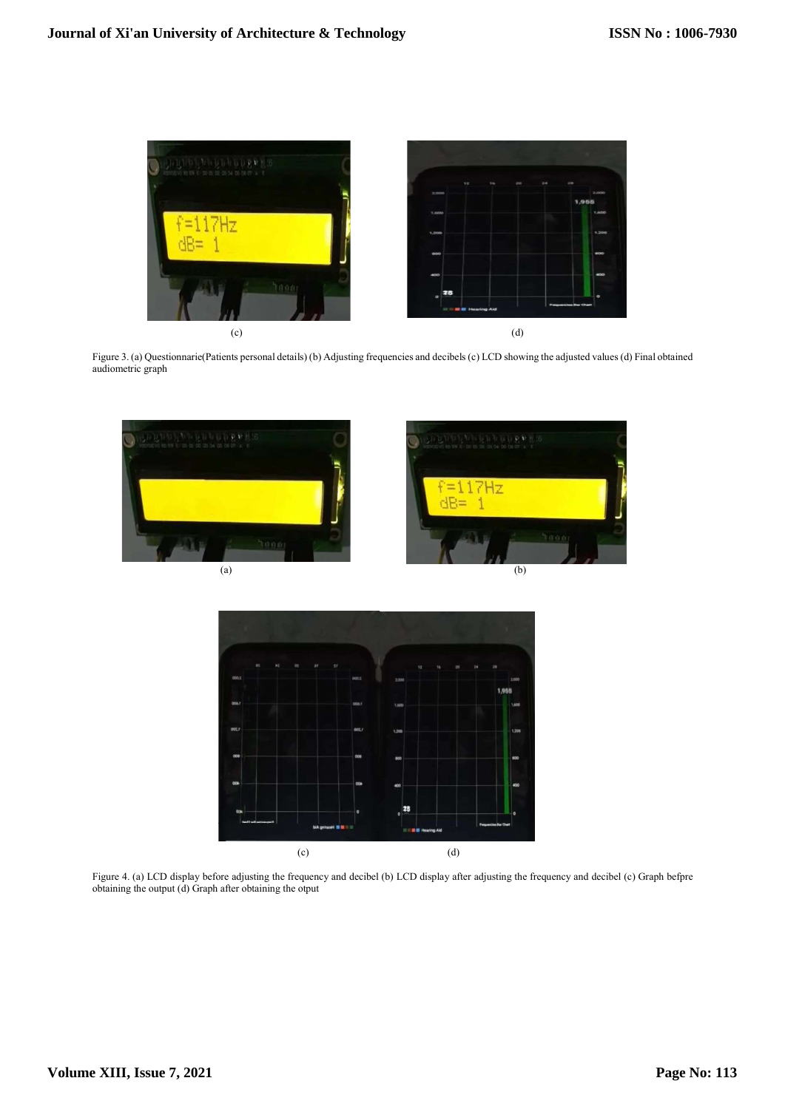

Figure 3. (a) Questionnarie(Patients personal details) (b) Adjusting frequencies and decibels (c) LCD showing the adjusted values (d) Final obtained audiometric graph





Figure 4. (a) LCD display before adjusting the frequency and decibel (b) LCD display after adjusting the frequency and decibel (c) Graph befpre obtaining the output (d) Graph after obtaining the otput